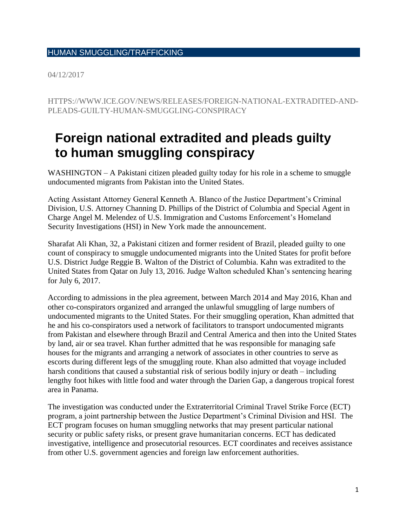## HUMAN SMUGGLING/TRAFFICKING

04/12/2017

HTTPS://WWW.ICE.GOV/NEWS/RELEASES/FOREIGN-NATIONAL-EXTRADITED-AND-PLEADS-GUILTY-HUMAN-SMUGGLING-CONSPIRACY

## **Foreign national extradited and pleads guilty to human smuggling conspiracy**

WASHINGTON – A Pakistani citizen pleaded guilty today for his role in a scheme to smuggle undocumented migrants from Pakistan into the United States.

Acting Assistant Attorney General Kenneth A. Blanco of the Justice Department's Criminal Division, U.S. Attorney Channing D. Phillips of the District of Columbia and Special Agent in Charge Angel M. Melendez of U.S. Immigration and Customs Enforcement's Homeland Security Investigations (HSI) in New York made the announcement.

Sharafat Ali Khan, 32, a Pakistani citizen and former resident of Brazil, pleaded guilty to one count of conspiracy to smuggle undocumented migrants into the United States for profit before U.S. District Judge Reggie B. Walton of the District of Columbia. Kahn was extradited to the United States from Qatar on July 13, 2016. Judge Walton scheduled Khan's sentencing hearing for July 6, 2017.

According to admissions in the plea agreement, between March 2014 and May 2016, Khan and other co-conspirators organized and arranged the unlawful smuggling of large numbers of undocumented migrants to the United States. For their smuggling operation, Khan admitted that he and his co-conspirators used a network of facilitators to transport undocumented migrants from Pakistan and elsewhere through Brazil and Central America and then into the United States by land, air or sea travel. Khan further admitted that he was responsible for managing safe houses for the migrants and arranging a network of associates in other countries to serve as escorts during different legs of the smuggling route. Khan also admitted that voyage included harsh conditions that caused a substantial risk of serious bodily injury or death – including lengthy foot hikes with little food and water through the Darien Gap, a dangerous tropical forest area in Panama.

The investigation was conducted under the Extraterritorial Criminal Travel Strike Force (ECT) program, a joint partnership between the Justice Department's Criminal Division and HSI. The ECT program focuses on human smuggling networks that may present particular national security or public safety risks, or present grave humanitarian concerns. ECT has dedicated investigative, intelligence and prosecutorial resources. ECT coordinates and receives assistance from other U.S. government agencies and foreign law enforcement authorities.